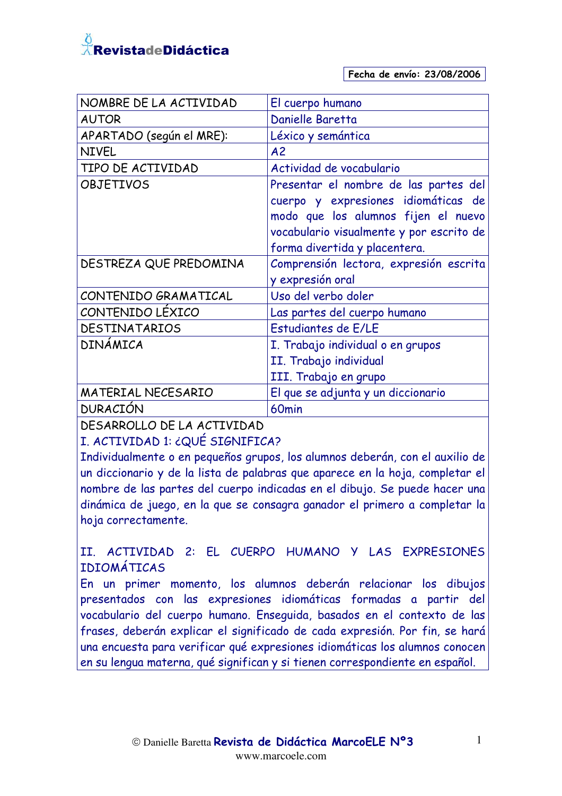

| NOMBRE DE LA ACTIVIDAD   | El cuerpo humano                                                                                                                                                                                 |
|--------------------------|--------------------------------------------------------------------------------------------------------------------------------------------------------------------------------------------------|
| <b>AUTOR</b>             | Danielle Baretta                                                                                                                                                                                 |
| APARTADO (según el MRE): | Léxico y semántica                                                                                                                                                                               |
| <b>NIVEL</b>             | A <sub>2</sub>                                                                                                                                                                                   |
| TIPO DE ACTIVIDAD        | Actividad de vocabulario                                                                                                                                                                         |
| <b>OBJETIVOS</b>         | Presentar el nombre de las partes del<br>cuerpo y expresiones idiomáticas de<br>modo que los alumnos fijen el nuevo<br>vocabulario visualmente y por escrito de<br>forma divertida y placentera. |
| DESTREZA QUE PREDOMINA   | Comprensión lectora, expresión escrita<br>y expresión oral                                                                                                                                       |
| CONTENIDO GRAMATICAL     | Uso del verbo doler                                                                                                                                                                              |
| CONTENIDO LÉXICO         | Las partes del cuerpo humano                                                                                                                                                                     |
| DESTINATARIOS            | Estudiantes de E/LE                                                                                                                                                                              |
| DINÁMICA                 | I. Trabajo individual o en grupos<br>II. Trabajo individual<br>III. Trabajo en grupo                                                                                                             |
| MATERIAL NECESARIO       | El que se adjunta y un diccionario                                                                                                                                                               |
| <b>DURACIÓN</b>          | 60 <sub>min</sub>                                                                                                                                                                                |
|                          |                                                                                                                                                                                                  |

DESARROLLO DE LA ACTIVIDAD

I. ACTIVIDAD 1: ¿QUÉ SIGNIFICA?

Individualmente o en pequeños grupos, los alumnos deberán, con el auxilio de un diccionario y de la lista de palabras que aparece en la hoja, completar el nombre de las partes del cuerpo indicadas en el dibujo. Se puede hacer una dinámica de juego, en la que se consagra ganador el primero a completar la hoja correctamente.

#### II. ACTIVIDAD 2: EL CUERPO HUMANO Y LAS EXPRESIONES **TDTOMÁTTCAS**

En un primer momento, los alumnos deberán relacionar los dibujos presentados con las expresiones idiomáticas formadas a partir del vocabulario del cuerpo humano. Enseguida, basados en el contexto de las frases, deberán explicar el significado de cada expresión. Por fin, se hará una encuesta para verificar qué expresiones idiomáticas los alumnos conocen en su lengua materna, qué significan y si tienen correspondiente en español.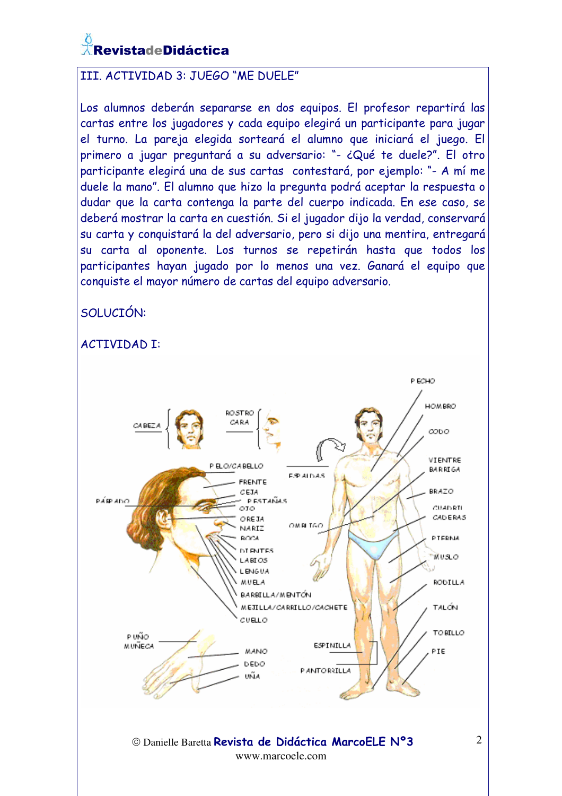# RevistadeDidáctica

#### III. ACTIVIDAD 3: JUEGO "ME DUELE"

Los alumnos deberán separarse en dos equipos. El profesor repartirá las cartas entre los jugadores y cada equipo elegirá un participante para jugar el turno. La pareja elegida sorteará el alumno que iniciará el juego. El primero a jugar preguntará a su adversario: "- ¿Qué te duele?". El otro participante elegirá una de sus cartas contestará, por ejemplo: "- A mí me duele la mano". El alumno que hizo la pregunta podrá aceptar la respuesta o dudar que la carta contenga la parte del cuerpo indicada. En ese caso, se deberá mostrar la carta en cuestión. Si el jugador dijo la verdad, conservará su carta y conquistará la del adversario, pero si dijo una mentira, entregará su carta al oponente. Los turnos se repetirán hasta que todos los participantes hayan jugado por lo menos una vez. Ganará el equipo que conquiste el mayor número de cartas del equipo adversario.

SOLUCIÓN: